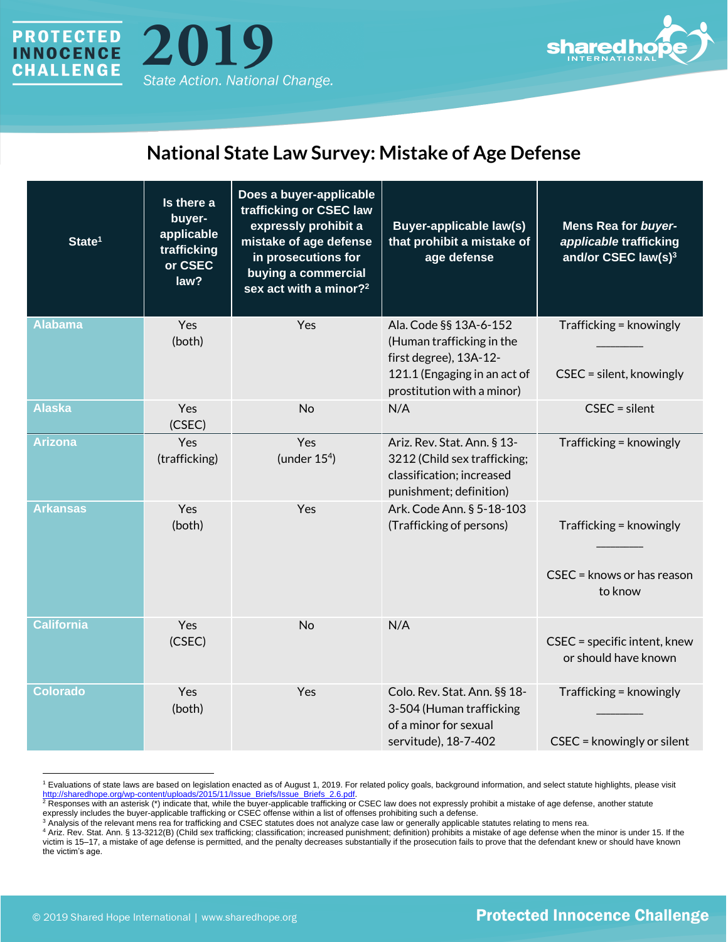





## **National State Law Survey: Mistake of Age Defense**

| State <sup>1</sup> | Is there a<br>buyer-<br>applicable<br>trafficking<br>or CSEC<br>law? | Does a buyer-applicable<br>trafficking or CSEC law<br>expressly prohibit a<br>mistake of age defense<br>in prosecutions for<br>buying a commercial<br>sex act with a minor? <sup>2</sup> | <b>Buyer-applicable law(s)</b><br>that prohibit a mistake of<br>age defense                                                                 | <b>Mens Rea for buyer-</b><br>applicable trafficking<br>and/or CSEC law(s) <sup>3</sup> |
|--------------------|----------------------------------------------------------------------|------------------------------------------------------------------------------------------------------------------------------------------------------------------------------------------|---------------------------------------------------------------------------------------------------------------------------------------------|-----------------------------------------------------------------------------------------|
| <b>Alabama</b>     | Yes<br>(both)                                                        | Yes                                                                                                                                                                                      | Ala. Code §§ 13A-6-152<br>(Human trafficking in the<br>first degree), 13A-12-<br>121.1 (Engaging in an act of<br>prostitution with a minor) | Trafficking = knowingly<br>CSEC = silent, knowingly                                     |
| <b>Alaska</b>      | Yes<br>(CSEC)                                                        | <b>No</b>                                                                                                                                                                                | N/A                                                                                                                                         | $CSEC = silent$                                                                         |
| <b>Arizona</b>     | Yes<br>(trafficking)                                                 | Yes<br>(under $154$ )                                                                                                                                                                    | Ariz. Rev. Stat. Ann. § 13-<br>3212 (Child sex trafficking;<br>classification; increased<br>punishment; definition)                         | Trafficking = knowingly                                                                 |
| <b>Arkansas</b>    | Yes<br>(both)                                                        | Yes                                                                                                                                                                                      | Ark. Code Ann. § 5-18-103<br>(Trafficking of persons)                                                                                       | Trafficking = knowingly<br>CSEC = knows or has reason<br>to know                        |
| <b>California</b>  | Yes<br>(CSEC)                                                        | <b>No</b>                                                                                                                                                                                | N/A                                                                                                                                         | CSEC = specific intent, knew<br>or should have known                                    |
| <b>Colorado</b>    | Yes<br>(both)                                                        | Yes                                                                                                                                                                                      | Colo. Rev. Stat. Ann. §§ 18-<br>3-504 (Human trafficking<br>of a minor for sexual<br>servitude), 18-7-402                                   | Trafficking = knowingly<br>CSEC = knowingly or silent                                   |

<sup>1</sup> Evaluations of state laws are based on legislation enacted as of August 1, 2019. For related policy goals, background information, and select statute highlights, please visit http://sharedhope.org/wp-content/uploads/2015/11/Issue\_Briefs/Issue\_Briefs\_2.6.pdf

 $^2$  Responses with an asterisk (\*) indicate that, while the buyer-applicable trafficking or CSEC law does not expressly prohibit a mistake of age defense, another statute expressly includes the buyer-applicable trafficking or CSEC offense within a list of offenses prohibiting such a defense.

<sup>&</sup>lt;sup>3</sup> Analysis of the relevant mens rea for trafficking and CSEC statutes does not analyze case law or generally applicable statutes relating to mens rea.

<sup>4</sup> Ariz. Rev. Stat. Ann. § 13-3212(B) (Child sex trafficking; classification; increased punishment; definition) prohibits a mistake of age defense when the minor is under 15. If the victim is 15–17, a mistake of age defense is permitted, and the penalty decreases substantially if the prosecution fails to prove that the defendant knew or should have known the victim's age.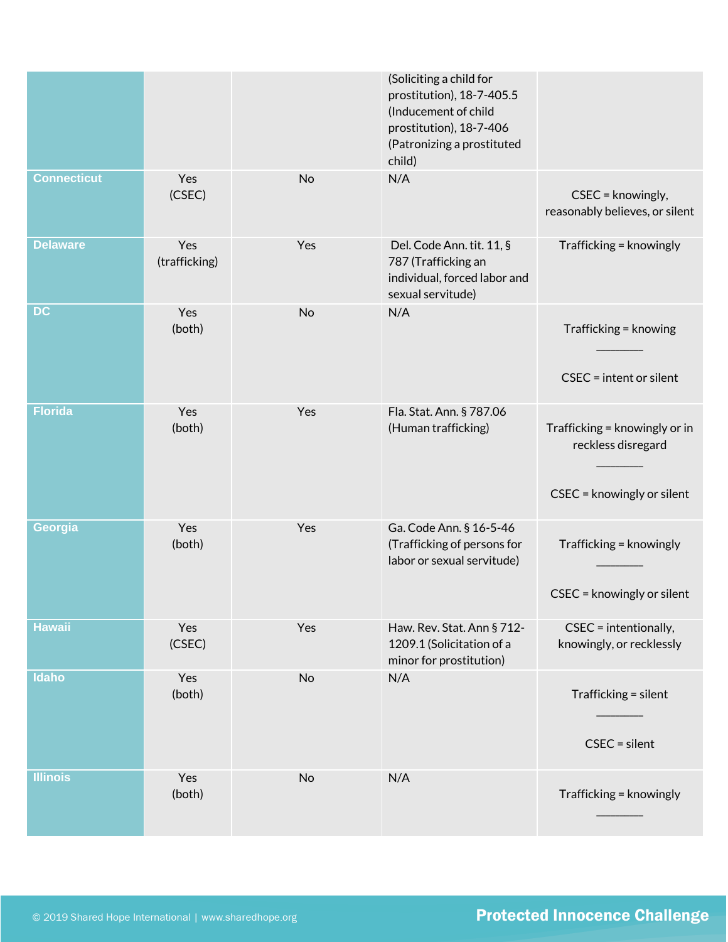|                    |                      |     | (Soliciting a child for<br>prostitution), 18-7-405.5<br>(Inducement of child<br>prostitution), 18-7-406<br>(Patronizing a prostituted<br>child) |                                                                                   |
|--------------------|----------------------|-----|-------------------------------------------------------------------------------------------------------------------------------------------------|-----------------------------------------------------------------------------------|
| <b>Connecticut</b> | Yes<br>(CSEC)        | No  | N/A                                                                                                                                             | CSEC = knowingly,<br>reasonably believes, or silent                               |
| <b>Delaware</b>    | Yes<br>(trafficking) | Yes | Del. Code Ann. tit. 11, §<br>787 (Trafficking an<br>individual, forced labor and<br>sexual servitude)                                           | Trafficking = knowingly                                                           |
| <b>DC</b>          | Yes<br>(both)        | No  | N/A                                                                                                                                             | Trafficking = knowing<br>$CSEC = intent or silent$                                |
| <b>Florida</b>     | Yes<br>(both)        | Yes | Fla. Stat. Ann. § 787.06<br>(Human trafficking)                                                                                                 | Trafficking = knowingly or in<br>reckless disregard<br>CSEC = knowingly or silent |
| Georgia            | Yes<br>(both)        | Yes | Ga. Code Ann. § 16-5-46<br>(Trafficking of persons for<br>labor or sexual servitude)                                                            | Trafficking = knowingly<br>CSEC = knowingly or silent                             |
| <b>Hawaii</b>      | Yes<br>(CSEC)        | Yes | Haw. Rev. Stat. Ann § 712-<br>1209.1 (Solicitation of a<br>minor for prostitution)                                                              | CSEC = intentionally,<br>knowingly, or recklessly                                 |
| Idaho              | Yes<br>(both)        | No  | N/A                                                                                                                                             | Trafficking = silent<br>$CSEC = silent$                                           |
| <b>Illinois</b>    | Yes<br>(both)        | No  | N/A                                                                                                                                             | Trafficking = knowingly                                                           |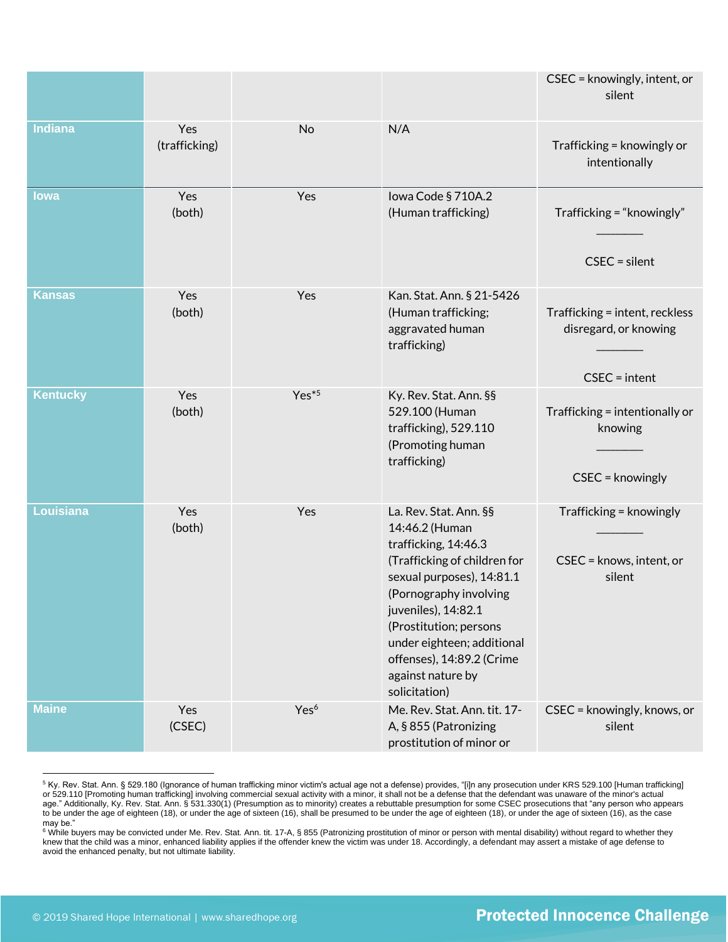|                 |                      |                  |                                                                                                                                                                                                                                                                                                           | CSEC = knowingly, intent, or<br>silent                                     |
|-----------------|----------------------|------------------|-----------------------------------------------------------------------------------------------------------------------------------------------------------------------------------------------------------------------------------------------------------------------------------------------------------|----------------------------------------------------------------------------|
| <b>Indiana</b>  | Yes<br>(trafficking) | No               | N/A                                                                                                                                                                                                                                                                                                       | Trafficking = knowingly or<br>intentionally                                |
| lowa            | Yes<br>(both)        | Yes              | Iowa Code § 710A.2<br>(Human trafficking)                                                                                                                                                                                                                                                                 | Trafficking = "knowingly"<br>$CSEC = silent$                               |
| <b>Kansas</b>   | Yes<br>(both)        | Yes              | Kan. Stat. Ann. § 21-5426<br>(Human trafficking;<br>aggravated human<br>trafficking)                                                                                                                                                                                                                      | Trafficking = intent, reckless<br>disregard, or knowing<br>$CSEC = intent$ |
| <b>Kentucky</b> | Yes<br>(both)        | $Yes*5$          | Ky. Rev. Stat. Ann. §§<br>529.100 (Human<br>trafficking), 529.110<br>(Promoting human<br>trafficking)                                                                                                                                                                                                     | Trafficking = intentionally or<br>knowing<br>CSEC = knowingly              |
| Louisiana       | Yes<br>(both)        | Yes              | La. Rev. Stat. Ann. §§<br>14:46.2 (Human<br>trafficking, 14:46.3<br>(Trafficking of children for<br>sexual purposes), 14:81.1<br>(Pornography involving<br>juveniles), 14:82.1<br>(Prostitution; persons<br>under eighteen; additional<br>offenses), 14:89.2 (Crime<br>against nature by<br>solicitation) | Trafficking = knowingly<br>CSEC = knows, intent, or<br>silent              |
| <b>Maine</b>    | Yes<br>(CSEC)        | Yes <sup>6</sup> | Me. Rev. Stat. Ann. tit. 17-<br>A, § 855 (Patronizing<br>prostitution of minor or                                                                                                                                                                                                                         | CSEC = knowingly, knows, or<br>silent                                      |

<sup>5</sup> Ky. Rev. Stat. Ann. § 529.180 (Ignorance of human trafficking minor victim's actual age not a defense) provides, "[i]n any prosecution under KRS 529.100 [Human trafficking] or 529.110 [Promoting human trafficking] involving commercial sexual activity with a minor, it shall not be a defense that the defendant was unaware of the minor's actual age." Additionally, Ky. Rev. Stat. Ann. § 531.330(1) (Presumption as to minority) creates a rebuttable presumption for some CSEC prosecutions that "any person who appears to be under the age of eighteen (18), or under the age of sixteen (16), shall be presumed to be under the age of eighteen (18), or under the age of sixteen (16), as the case may be."

<sup>6</sup> While buyers may be convicted under Me. Rev. Stat. Ann. tit. 17-A, § 855 (Patronizing prostitution of minor or person with mental disability) without regard to whether they knew that the child was a minor, enhanced liability applies if the offender knew the victim was under 18. Accordingly, a defendant may assert a mistake of age defense to avoid the enhanced penalty, but not ultimate liability.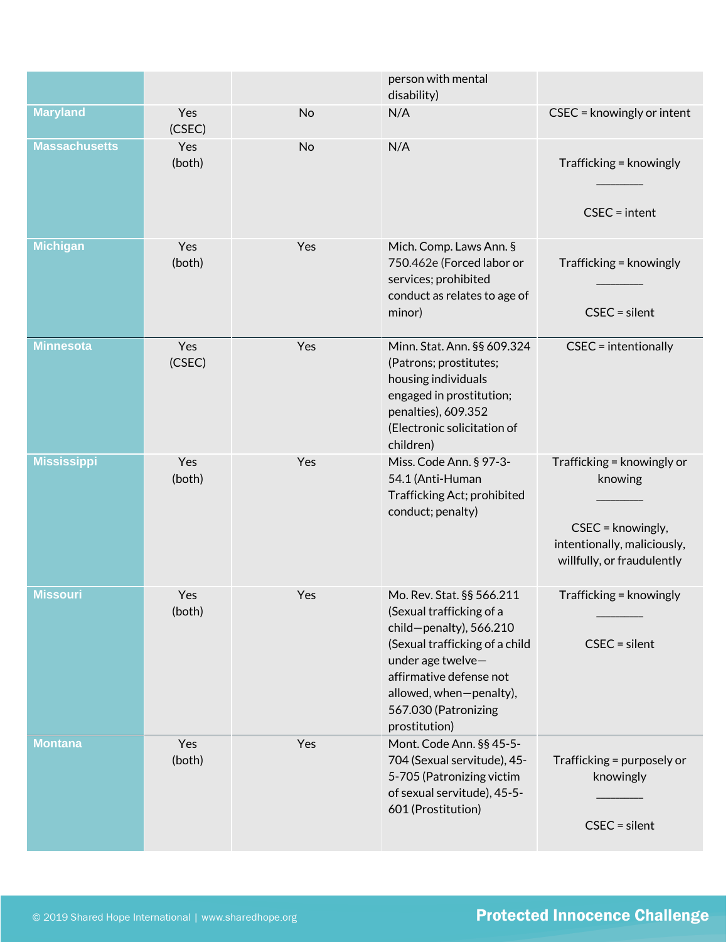|                      |               |           | person with mental<br>disability)                                                                                                                                                                                                         |                                                                                                                         |
|----------------------|---------------|-----------|-------------------------------------------------------------------------------------------------------------------------------------------------------------------------------------------------------------------------------------------|-------------------------------------------------------------------------------------------------------------------------|
| <b>Maryland</b>      | Yes<br>(CSEC) | No        | N/A                                                                                                                                                                                                                                       | CSEC = knowingly or intent                                                                                              |
| <b>Massachusetts</b> | Yes<br>(both) | <b>No</b> | N/A                                                                                                                                                                                                                                       | Trafficking = knowingly<br>$CSEC = intent$                                                                              |
| <b>Michigan</b>      | Yes<br>(both) | Yes       | Mich. Comp. Laws Ann. §<br>750.462e (Forced labor or<br>services; prohibited<br>conduct as relates to age of<br>minor)                                                                                                                    | Trafficking = knowingly<br>$CSEC = silent$                                                                              |
| <b>Minnesota</b>     | Yes<br>(CSEC) | Yes       | Minn. Stat. Ann. §§ 609.324<br>(Patrons; prostitutes;<br>housing individuals<br>engaged in prostitution;<br>penalties), 609.352<br>(Electronic solicitation of<br>children)                                                               | CSEC = intentionally                                                                                                    |
| <b>Mississippi</b>   | Yes<br>(both) | Yes       | Miss. Code Ann. § 97-3-<br>54.1 (Anti-Human<br>Trafficking Act; prohibited<br>conduct; penalty)                                                                                                                                           | Trafficking = knowingly or<br>knowing<br>CSEC = knowingly,<br>intentionally, maliciously,<br>willfully, or fraudulently |
| <b>Missouri</b>      | Yes<br>(both) | Yes       | Mo. Rev. Stat. §§ 566.211<br>(Sexual trafficking of a<br>$child$ -penalty), 566.210<br>(Sexual trafficking of a child<br>under age twelve-<br>affirmative defense not<br>allowed, when-penalty),<br>567.030 (Patronizing<br>prostitution) | Trafficking = knowingly<br>$CSEC = silent$                                                                              |
| <b>Montana</b>       | Yes<br>(both) | Yes       | Mont. Code Ann. §§ 45-5-<br>704 (Sexual servitude), 45-<br>5-705 (Patronizing victim<br>of sexual servitude), 45-5-<br>601 (Prostitution)                                                                                                 | Trafficking = purposely or<br>knowingly<br>$CSEC = silent$                                                              |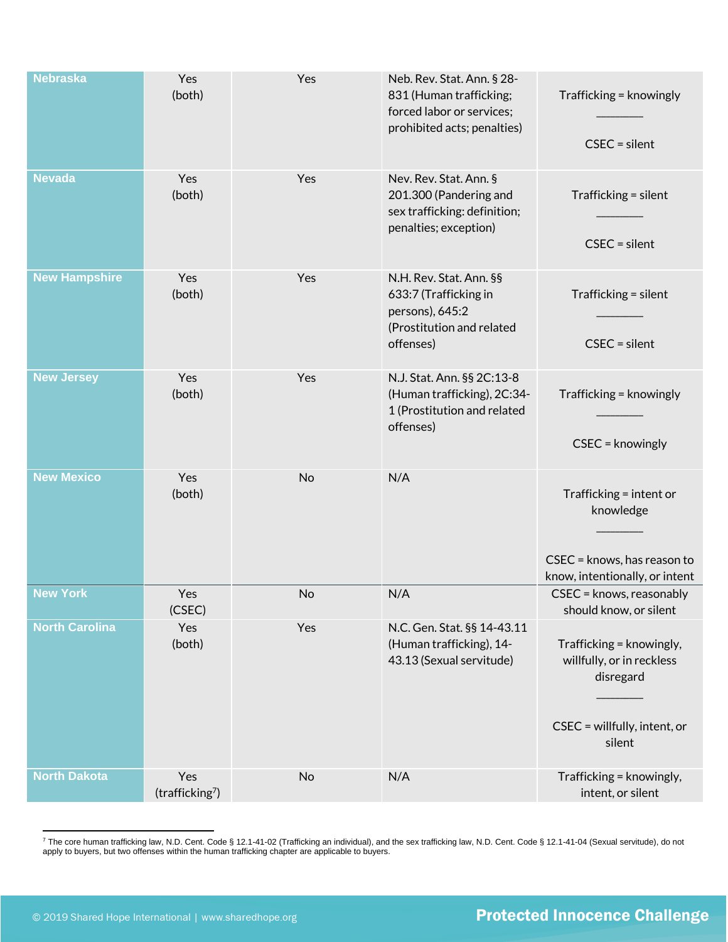| <b>Nebraska</b>       | Yes<br>(both)                      | Yes | Neb. Rev. Stat. Ann. § 28-<br>831 (Human trafficking;<br>forced labor or services;<br>prohibited acts; penalties) | Trafficking = knowingly<br>$CSEC = silent$                                                                   |
|-----------------------|------------------------------------|-----|-------------------------------------------------------------------------------------------------------------------|--------------------------------------------------------------------------------------------------------------|
| <b>Nevada</b>         | Yes<br>(both)                      | Yes | Nev. Rev. Stat. Ann. §<br>201.300 (Pandering and<br>sex trafficking: definition;<br>penalties; exception)         | Trafficking = silent<br>$CSEC = silent$                                                                      |
| <b>New Hampshire</b>  | Yes<br>(both)                      | Yes | N.H. Rev. Stat. Ann. §§<br>633:7 (Trafficking in<br>persons), 645:2<br>(Prostitution and related<br>offenses)     | Trafficking = silent<br>$CSEC = silent$                                                                      |
| <b>New Jersey</b>     | Yes<br>(both)                      | Yes | N.J. Stat. Ann. §§ 2C:13-8<br>(Human trafficking), 2C:34-<br>1 (Prostitution and related<br>offenses)             | Trafficking = knowingly<br>CSEC = knowingly                                                                  |
| <b>New Mexico</b>     | Yes<br>(both)                      | No  | N/A                                                                                                               | Trafficking = intent or<br>knowledge<br>CSEC = knows, has reason to<br>know, intentionally, or intent        |
| <b>New York</b>       | Yes<br>(CSEC)                      | No  | N/A                                                                                                               | CSEC = knows, reasonably<br>should know, or silent                                                           |
| <b>North Carolina</b> | Yes<br>(both)                      | Yes | N.C. Gen. Stat. §§ 14-43.11<br>(Human trafficking), 14-<br>43.13 (Sexual servitude)                               | Trafficking = knowingly,<br>willfully, or in reckless<br>disregard<br>CSEC = willfully, intent, or<br>silent |
| <b>North Dakota</b>   | Yes<br>(trafficking <sup>7</sup> ) | No  | N/A                                                                                                               | Trafficking = knowingly,<br>intent, or silent                                                                |

<sup>7</sup> The core human trafficking law, N.D. Cent. Code § 12.1-41-02 (Trafficking an individual), and the sex trafficking law, N.D. Cent. Code § 12.1-41-04 (Sexual servitude), do not apply to buyers, but two offenses within the human trafficking chapter are applicable to buyers.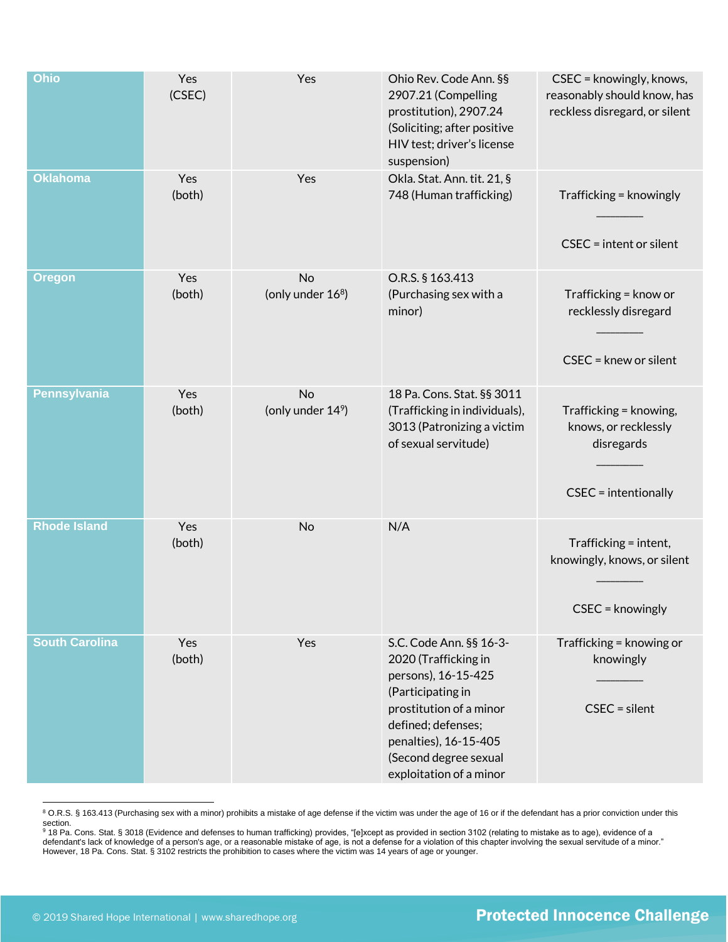| Ohio                  | Yes<br>(CSEC) | Yes                                        | Ohio Rev. Code Ann. §§<br>2907.21 (Compelling<br>prostitution), 2907.24<br>(Soliciting; after positive<br>HIV test; driver's license<br>suspension)                                                                       | CSEC = knowingly, knows,<br>reasonably should know, has<br>reckless disregard, or silent |
|-----------------------|---------------|--------------------------------------------|---------------------------------------------------------------------------------------------------------------------------------------------------------------------------------------------------------------------------|------------------------------------------------------------------------------------------|
| <b>Oklahoma</b>       | Yes<br>(both) | Yes                                        | Okla. Stat. Ann. tit. 21, §<br>748 (Human trafficking)                                                                                                                                                                    | Trafficking = knowingly<br>$CSEC = intent or silent$                                     |
| <b>Oregon</b>         | Yes<br>(both) | No<br>(only under 16 <sup>8</sup> )        | O.R.S. § 163.413<br>(Purchasing sex with a<br>minor)                                                                                                                                                                      | Trafficking = know or<br>recklessly disregard<br>CSEC = knew or silent                   |
| <b>Pennsylvania</b>   | Yes<br>(both) | <b>No</b><br>(only under 14 <sup>9</sup> ) | 18 Pa. Cons. Stat. §§ 3011<br>(Trafficking in individuals),<br>3013 (Patronizing a victim<br>of sexual servitude)                                                                                                         | Trafficking = knowing,<br>knows, or recklessly<br>disregards<br>CSEC = intentionally     |
| <b>Rhode Island</b>   | Yes<br>(both) | No                                         | N/A                                                                                                                                                                                                                       | Trafficking = intent,<br>knowingly, knows, or silent<br>CSEC = knowingly                 |
| <b>South Carolina</b> | Yes<br>(both) | Yes                                        | S.C. Code Ann. §§ 16-3-<br>2020 (Trafficking in<br>persons), 16-15-425<br>(Participating in<br>prostitution of a minor<br>defined; defenses;<br>penalties), 16-15-405<br>(Second degree sexual<br>exploitation of a minor | Trafficking = knowing or<br>knowingly<br>$CSEC = silent$                                 |

<sup>&</sup>lt;sup>8</sup> O.R.S. § 163.413 (Purchasing sex with a minor) prohibits a mistake of age defense if the victim was under the age of 16 or if the defendant has a prior conviction under this

section.<br>º 18 Pa. Cons. Stat.§3018 (Evidence and defenses to human trafficking) provides, "[e]xcept as provided in section 3102 (relating to mistake as to age), evidence of a defendant's lack of knowledge of a person's age, or a reasonable mistake of age, is not a defense for a violation of this chapter involving the sexual servitude of a minor." However, 18 Pa. Cons. Stat. § 3102 restricts the prohibition to cases where the victim was 14 years of age or younger.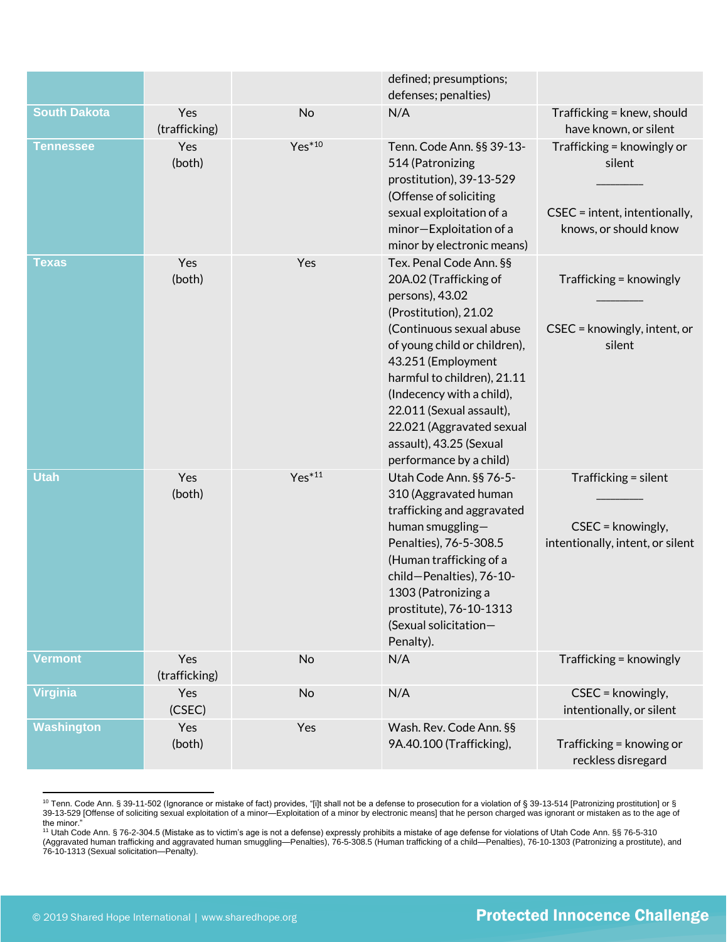|                     |                      |          | defined; presumptions;<br>defenses; penalties)                                                                                                                                                                                                                                                                                                             |                                                                                                |
|---------------------|----------------------|----------|------------------------------------------------------------------------------------------------------------------------------------------------------------------------------------------------------------------------------------------------------------------------------------------------------------------------------------------------------------|------------------------------------------------------------------------------------------------|
| <b>South Dakota</b> | Yes<br>(trafficking) | No       | N/A                                                                                                                                                                                                                                                                                                                                                        | Trafficking = knew, should<br>have known, or silent                                            |
| <b>Tennessee</b>    | Yes<br>(both)        | $Yes*10$ | Tenn. Code Ann. §§ 39-13-<br>514 (Patronizing<br>prostitution), 39-13-529<br>(Offense of soliciting<br>sexual exploitation of a<br>minor-Exploitation of a<br>minor by electronic means)                                                                                                                                                                   | Trafficking = knowingly or<br>silent<br>CSEC = intent, intentionally,<br>knows, or should know |
| <b>Texas</b>        | Yes<br>(both)        | Yes      | Tex. Penal Code Ann. §§<br>20A.02 (Trafficking of<br>persons), 43.02<br>(Prostitution), 21.02<br>(Continuous sexual abuse<br>of young child or children),<br>43.251 (Employment<br>harmful to children), 21.11<br>(Indecency with a child),<br>22.011 (Sexual assault),<br>22.021 (Aggravated sexual<br>assault), 43.25 (Sexual<br>performance by a child) | Trafficking = knowingly<br>CSEC = knowingly, intent, or<br>silent                              |
| <b>Utah</b>         | Yes<br>(both)        | $Yes*11$ | Utah Code Ann. §§ 76-5-<br>310 (Aggravated human<br>trafficking and aggravated<br>human smuggling-<br>Penalties), 76-5-308.5<br>(Human trafficking of a<br>child-Penalties), 76-10-<br>1303 (Patronizing a<br>prostitute), 76-10-1313<br>(Sexual solicitation-<br>Penalty).                                                                                | Trafficking = silent<br>CSEC = knowingly,<br>intentionally, intent, or silent                  |
| <b>Vermont</b>      | Yes<br>(trafficking) | No       | N/A                                                                                                                                                                                                                                                                                                                                                        | Trafficking = knowingly                                                                        |
| <b>Virginia</b>     | Yes<br>(CSEC)        | No       | N/A                                                                                                                                                                                                                                                                                                                                                        | CSEC = knowingly,<br>intentionally, or silent                                                  |
| <b>Washington</b>   | Yes<br>(both)        | Yes      | Wash. Rev. Code Ann. §§<br>9A.40.100 (Trafficking),                                                                                                                                                                                                                                                                                                        | Trafficking = knowing or<br>reckless disregard                                                 |

 $^{10}$  Tenn. Code Ann. § 39-11-502 (Ignorance or mistake of fact) provides, "[i]t shall not be a defense to prosecution for a violation of § 39-13-514 [Patronizing prostitution] or § 39-13-529 [Offense of soliciting sexual exploitation of a minor—Exploitation of a minor by electronic means] that he person charged was ignorant or mistaken as to the age of the minor."<br><sup>11</sup> Utah Code Ann. § 76-2-304.5 (Mistake as to victim's age is not a defense) expressly prohibits a mistake of age defense for violations of Utah Code Ann. §§ 76-5-310

<sup>(</sup>Aggravated human trafficking and aggravated human smuggling—Penalties), 76-5-308.5 (Human trafficking of a child—Penalties), 76-10-1303 (Patronizing a prostitute), and 76-10-1313 (Sexual solicitation—Penalty).